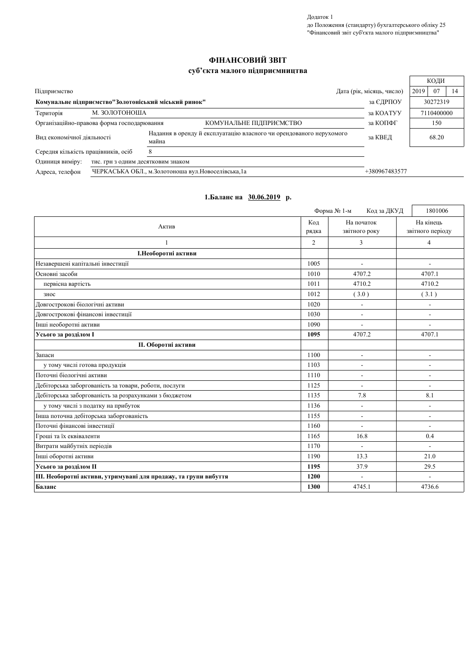Додаток 1 до Положення (стандарту) бухгалтерського обліку 25<br>"Фінансовий звіт суб'єкта малого підприємництва"

 $\sqrt{ }$ 

## ФІНАНСОВИЙ ЗВІТ

## суб'єкта малого підприємництва

|                                                                   |                                                                      |                                                                              |                           | КОДИ             |
|-------------------------------------------------------------------|----------------------------------------------------------------------|------------------------------------------------------------------------------|---------------------------|------------------|
| Підприємство                                                      |                                                                      |                                                                              | Дата (рік, місяць, число) | 07<br>2019<br>14 |
| Комунальне підприємство"Золотоніський міський ринок"<br>за ЄДРПОУ |                                                                      |                                                                              | 30272319                  |                  |
| Територія                                                         | М. ЗОЛОТОНОША                                                        |                                                                              | за КОАТУУ                 | 7110400000       |
|                                                                   | Організаційно-правова форма господарювання                           | КОМУНАЛЬНЕ ПІДПРИЄМСТВО                                                      | за КОПФГ                  | 150              |
| Вид економічної діяльності                                        |                                                                      | Надання в оренду й експлуатацію власного чи орендованого нерухомого<br>майна | за КВЕД                   | 68.20            |
| Середня кількість працівників, осіб<br>x                          |                                                                      |                                                                              |                           |                  |
| Одиниця виміру:                                                   | тис. грн з одним десятковим знаком                                   |                                                                              |                           |                  |
| Адреса, телефон                                                   | ЧЕРКАСЬКА ОБЛ., м.Золотоноша вул. Новоселівська, 1а<br>+380967483577 |                                                                              |                           |                  |

|                                                                  |                | Форма № 1-м<br>Код за ДКУД  | 1801006                       |
|------------------------------------------------------------------|----------------|-----------------------------|-------------------------------|
| Актив                                                            | Кол<br>рядка   | На початок<br>звітного року | На кінець<br>звітного періоду |
|                                                                  | $\overline{2}$ | 3                           | $\overline{4}$                |
| І. Необоротні активи                                             |                |                             |                               |
| Незавершені капітальні інвестиції                                | 1005           | $\blacksquare$              |                               |
| Основні засоби                                                   | 1010           | 4707.2                      | 4707.1                        |
| первісна вартість                                                | 1011           | 4710.2                      | 4710.2                        |
| знос                                                             | 1012           | (3.0)                       | (3.1)                         |
| Довгострокові біологічні активи                                  | 1020           | $\overline{a}$              | $\overline{\phantom{a}}$      |
| Довгострокові фінансові інвестиції                               | 1030           |                             |                               |
| Інші необоротні активи                                           | 1090           |                             | ÷,                            |
| Усього за розділом I                                             | 1095           | 4707.2                      | 4707.1                        |
| <b>II. Оборотні активи</b>                                       |                |                             |                               |
| Запаси                                                           | 1100           | $\blacksquare$              | ÷,                            |
| у тому числі готова продукція                                    | 1103           | $\overline{\phantom{a}}$    | $\overline{\phantom{a}}$      |
| Поточні біологічні активи                                        | 1110           | L,                          | $\overline{a}$                |
| Дебіторська заборгованість за товари, роботи, послуги            | 1125           | $\blacksquare$              | ÷                             |
| Дебіторська заборгованість за розрахунками з бюджетом            | 1135           | 7.8                         | 8.1                           |
| у тому числі з податку на прибуток                               | 1136           | $\overline{a}$              | ÷,                            |
| Інша поточна дебіторська заборгованість                          | 1155           | $\blacksquare$              | $\overline{a}$                |
| Поточні фінансові інвестиції                                     | 1160           |                             | $\overline{\phantom{a}}$      |
| Гроші та їх еквіваленти                                          | 1165           | 16.8                        | 0.4                           |
| Витрати майбутніх періодів                                       | 1170           | $\blacksquare$              | $\overline{\phantom{a}}$      |
| Інші оборотні активи                                             | 1190           | 13.3                        | 21.0                          |
| Усього за розділом II                                            | 1195           | 37.9                        | 29.5                          |
| III. Необоротні активи, утримувані для продажу, та групи вибуття | 1200           | $\blacksquare$              |                               |
| Баланс                                                           | 1300           | 4745.1                      | 4736.6                        |

## 1.Баланс на 30.06.2019 р.